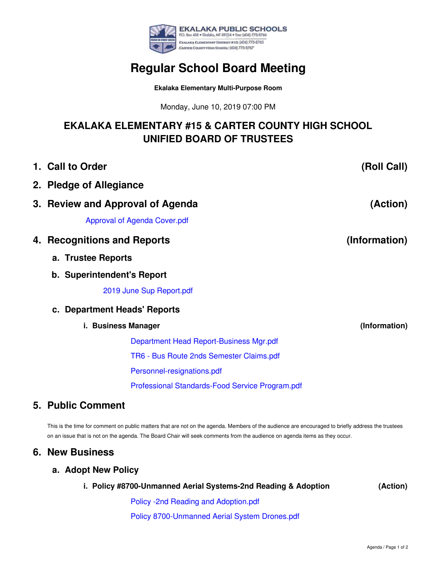

# **Regular School Board Meeting**

**Ekalaka Elementary Multi-Purpose Room**

Monday, June 10, 2019 07:00 PM

## **EKALAKA ELEMENTARY #15 & CARTER COUNTY HIGH SCHOOL UNIFIED BOARD OF TRUSTEES**

| 1. Call to Order                                | (Roll Call)   |
|-------------------------------------------------|---------------|
| 2. Pledge of Allegiance                         |               |
| 3. Review and Approval of Agenda                | (Action)      |
| <b>Approval of Agenda Cover.pdf</b>             |               |
| 4. Recognitions and Reports                     | (Information) |
| a. Trustee Reports                              |               |
| b. Superintendent's Report                      |               |
| 2019 June Sup Report.pdf                        |               |
| c. Department Heads' Reports                    |               |
| i. Business Manager                             | (Information) |
| Department Head Report-Business Mgr.pdf         |               |
| TR6 - Bus Route 2nds Semester Claims.pdf        |               |
| Personnel-resignations.pdf                      |               |
| Professional Standards-Food Service Program.pdf |               |
| R.J.I. A.J                                      |               |

### **5. Public Comment**

This is the time for comment on public matters that are not on the agenda. Members of the audience are encouraged to briefly address the trustees on an issue that is not on the agenda. The Board Chair will seek comments from the audience on agenda items as they occur.

#### **6. New Business**

#### **a. Adopt New Policy**

**i. Policy #8700-Unmanned Aerial Systems-2nd Reading & Adoption**

**(Action)**

Policy -2nd Reading and [Adoption.pdf](https://app.eduportal.com/documents/view/715516) Policy [8700-Unmanned](https://app.eduportal.com/documents/view/715515) Aerial System Drones.pdf